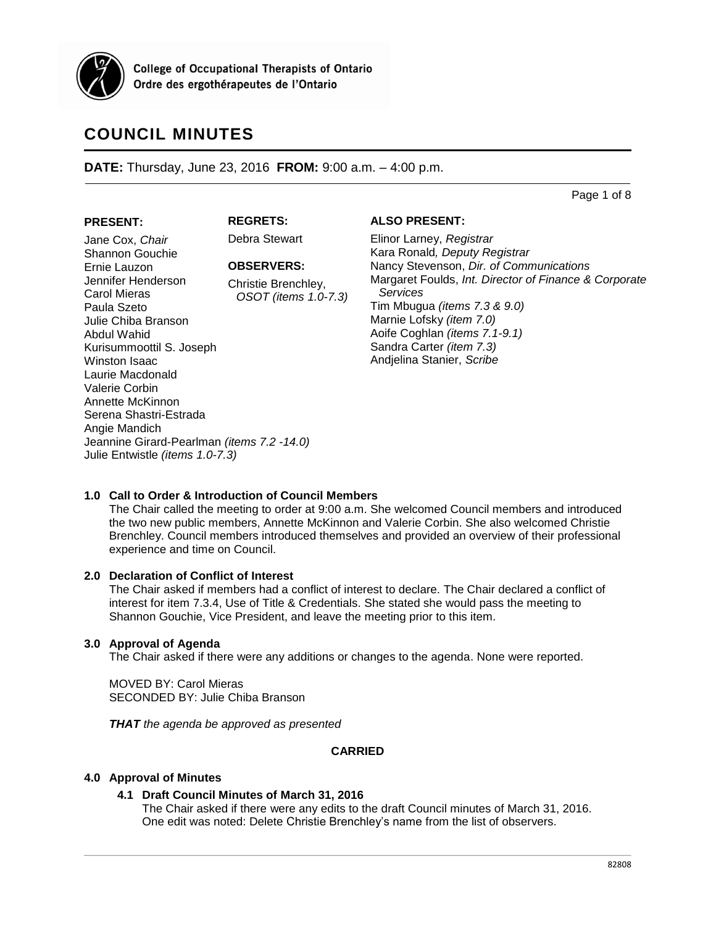

**College of Occupational Therapists of Ontario** Ordre des ergothérapeutes de l'Ontario

# **COUNCIL MINUTES**

**DATE:** Thursday, June 23, 2016 **FROM:** 9:00 a.m. – 4:00 p.m.

Page 1 of 8

### **PRESENT:**

**REGRETS:**

Debra Stewart

# **OBSERVERS:**

Christie Brenchley, *OSOT (items 1.0-7.3)*

Jane Cox, *Chair* Shannon Gouchie Ernie Lauzon Jennifer Henderson Carol Mieras Paula Szeto Julie Chiba Branson Abdul Wahid Kurisummoottil S. Joseph Winston Isaac Laurie Macdonald Valerie Corbin Annette McKinnon Serena Shastri-Estrada Angie Mandich Jeannine Girard-Pearlman *(items 7.2 -14.0)* Julie Entwistle *(items 1.0-7.3)*

# **ALSO PRESENT:**

Elinor Larney, *Registrar* Kara Ronald*, Deputy Registrar* Nancy Stevenson, *Dir. of Communications* Margaret Foulds, *Int. Director of Finance & Corporate Services* Tim Mbugua *(items 7.3 & 9.0)* Marnie Lofsky *(item 7.0)* Aoife Coghlan *(items 7.1-9.1)* Sandra Carter *(item 7.3)* Andjelina Stanier, *Scribe*

# **1.0 Call to Order & Introduction of Council Members**

The Chair called the meeting to order at 9:00 a.m. She welcomed Council members and introduced the two new public members, Annette McKinnon and Valerie Corbin. She also welcomed Christie Brenchley. Council members introduced themselves and provided an overview of their professional experience and time on Council.

# **2.0 Declaration of Conflict of Interest**

The Chair asked if members had a conflict of interest to declare. The Chair declared a conflict of interest for item 7.3.4, Use of Title & Credentials. She stated she would pass the meeting to Shannon Gouchie, Vice President, and leave the meeting prior to this item.

# **3.0 Approval of Agenda**

The Chair asked if there were any additions or changes to the agenda. None were reported.

MOVED BY: Carol Mieras SECONDED BY: Julie Chiba Branson

*THAT the agenda be approved as presented*

# **CARRIED**

# **4.0 Approval of Minutes**

# **4.1 Draft Council Minutes of March 31, 2016**

The Chair asked if there were any edits to the draft Council minutes of March 31, 2016. One edit was noted: Delete Christie Brenchley's name from the list of observers.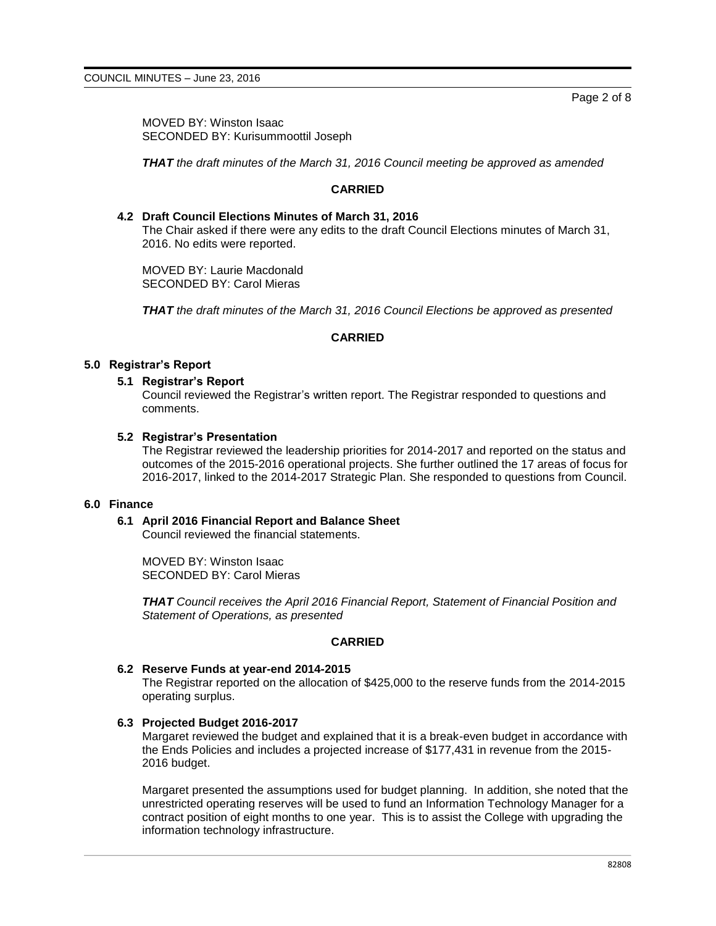MOVED BY: Winston Isaac SECONDED BY: Kurisummoottil Joseph

*THAT the draft minutes of the March 31, 2016 Council meeting be approved as amended*

# **CARRIED**

### **4.2 Draft Council Elections Minutes of March 31, 2016**

The Chair asked if there were any edits to the draft Council Elections minutes of March 31, 2016. No edits were reported.

MOVED BY: Laurie Macdonald SECONDED BY: Carol Mieras

*THAT the draft minutes of the March 31, 2016 Council Elections be approved as presented*

# **CARRIED**

#### **5.0 Registrar's Report**

# **5.1 Registrar's Report**

Council reviewed the Registrar's written report. The Registrar responded to questions and comments.

#### **5.2 Registrar's Presentation**

The Registrar reviewed the leadership priorities for 2014-2017 and reported on the status and outcomes of the 2015-2016 operational projects. She further outlined the 17 areas of focus for 2016-2017, linked to the 2014-2017 Strategic Plan. She responded to questions from Council.

#### **6.0 Finance**

# **6.1 April 2016 Financial Report and Balance Sheet**

Council reviewed the financial statements.

MOVED BY: Winston Isaac SECONDED BY: Carol Mieras

*THAT Council receives the April 2016 Financial Report, Statement of Financial Position and Statement of Operations, as presented*

#### **CARRIED**

#### **6.2 Reserve Funds at year-end 2014-2015**

The Registrar reported on the allocation of \$425,000 to the reserve funds from the 2014-2015 operating surplus.

# **6.3 Projected Budget 2016-2017**

Margaret reviewed the budget and explained that it is a break-even budget in accordance with the Ends Policies and includes a projected increase of \$177,431 in revenue from the 2015- 2016 budget.

Margaret presented the assumptions used for budget planning. In addition, she noted that the unrestricted operating reserves will be used to fund an Information Technology Manager for a contract position of eight months to one year. This is to assist the College with upgrading the information technology infrastructure.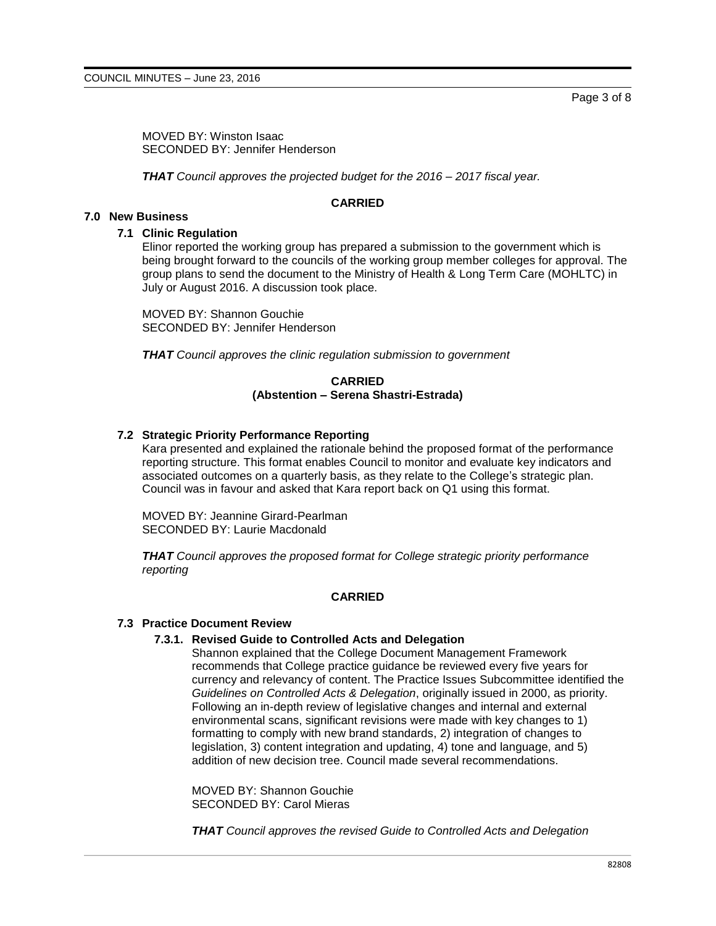MOVED BY: Winston Isaac SECONDED BY: Jennifer Henderson

*THAT Council approves the projected budget for the 2016 – 2017 fiscal year.*

# **CARRIED**

# **7.0 New Business**

### **7.1 Clinic Regulation**

Elinor reported the working group has prepared a submission to the government which is being brought forward to the councils of the working group member colleges for approval. The group plans to send the document to the Ministry of Health & Long Term Care (MOHLTC) in July or August 2016. A discussion took place.

MOVED BY: Shannon Gouchie SECONDED BY: Jennifer Henderson

*THAT Council approves the clinic regulation submission to government*

#### **CARRIED (Abstention – Serena Shastri-Estrada)**

# **7.2 Strategic Priority Performance Reporting**

Kara presented and explained the rationale behind the proposed format of the performance reporting structure. This format enables Council to monitor and evaluate key indicators and associated outcomes on a quarterly basis, as they relate to the College's strategic plan. Council was in favour and asked that Kara report back on Q1 using this format.

MOVED BY: Jeannine Girard-Pearlman SECONDED BY: Laurie Macdonald

*THAT Council approves the proposed format for College strategic priority performance reporting*

# **CARRIED**

#### **7.3 Practice Document Review**

# **7.3.1. Revised Guide to Controlled Acts and Delegation**

Shannon explained that the College Document Management Framework recommends that College practice guidance be reviewed every five years for currency and relevancy of content. The Practice Issues Subcommittee identified the *Guidelines on Controlled Acts & Delegation*, originally issued in 2000, as priority. Following an in-depth review of legislative changes and internal and external environmental scans, significant revisions were made with key changes to 1) formatting to comply with new brand standards, 2) integration of changes to legislation, 3) content integration and updating, 4) tone and language, and 5) addition of new decision tree. Council made several recommendations.

MOVED BY: Shannon Gouchie SECONDED BY: Carol Mieras

*THAT Council approves the revised Guide to Controlled Acts and Delegation*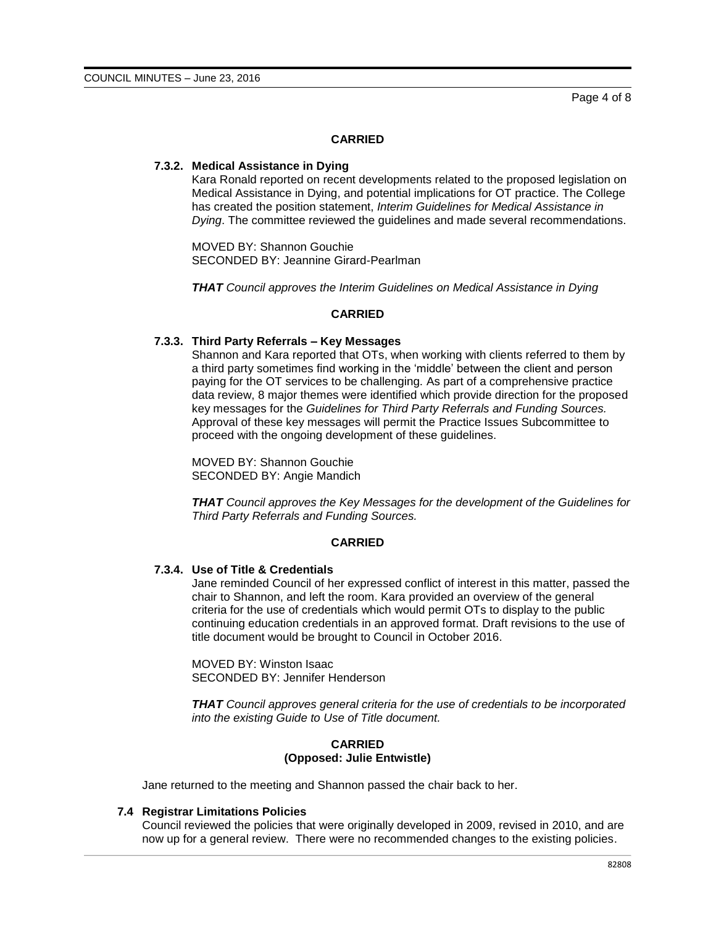#### **CARRIED**

#### **7.3.2. Medical Assistance in Dying**

Kara Ronald reported on recent developments related to the proposed legislation on Medical Assistance in Dying, and potential implications for OT practice. The College has created the position statement, *Interim Guidelines for Medical Assistance in Dying*. The committee reviewed the guidelines and made several recommendations.

MOVED BY: Shannon Gouchie SECONDED BY: Jeannine Girard-Pearlman

*THAT Council approves the Interim Guidelines on Medical Assistance in Dying*

#### **CARRIED**

#### **7.3.3. Third Party Referrals – Key Messages**

Shannon and Kara reported that OTs, when working with clients referred to them by a third party sometimes find working in the 'middle' between the client and person paying for the OT services to be challenging. As part of a comprehensive practice data review, 8 major themes were identified which provide direction for the proposed key messages for the *Guidelines for Third Party Referrals and Funding Sources.* Approval of these key messages will permit the Practice Issues Subcommittee to proceed with the ongoing development of these guidelines.

MOVED BY: Shannon Gouchie SECONDED BY: Angie Mandich

*THAT Council approves the Key Messages for the development of the Guidelines for Third Party Referrals and Funding Sources.*

#### **CARRIED**

# **7.3.4. Use of Title & Credentials**

Jane reminded Council of her expressed conflict of interest in this matter, passed the chair to Shannon, and left the room. Kara provided an overview of the general criteria for the use of credentials which would permit OTs to display to the public continuing education credentials in an approved format. Draft revisions to the use of title document would be brought to Council in October 2016.

MOVED BY: Winston Isaac SECONDED BY: Jennifer Henderson

*THAT Council approves general criteria for the use of credentials to be incorporated into the existing Guide to Use of Title document.*

### **CARRIED (Opposed: Julie Entwistle)**

Jane returned to the meeting and Shannon passed the chair back to her.

#### **7.4 Registrar Limitations Policies**

Council reviewed the policies that were originally developed in 2009, revised in 2010, and are now up for a general review. There were no recommended changes to the existing policies.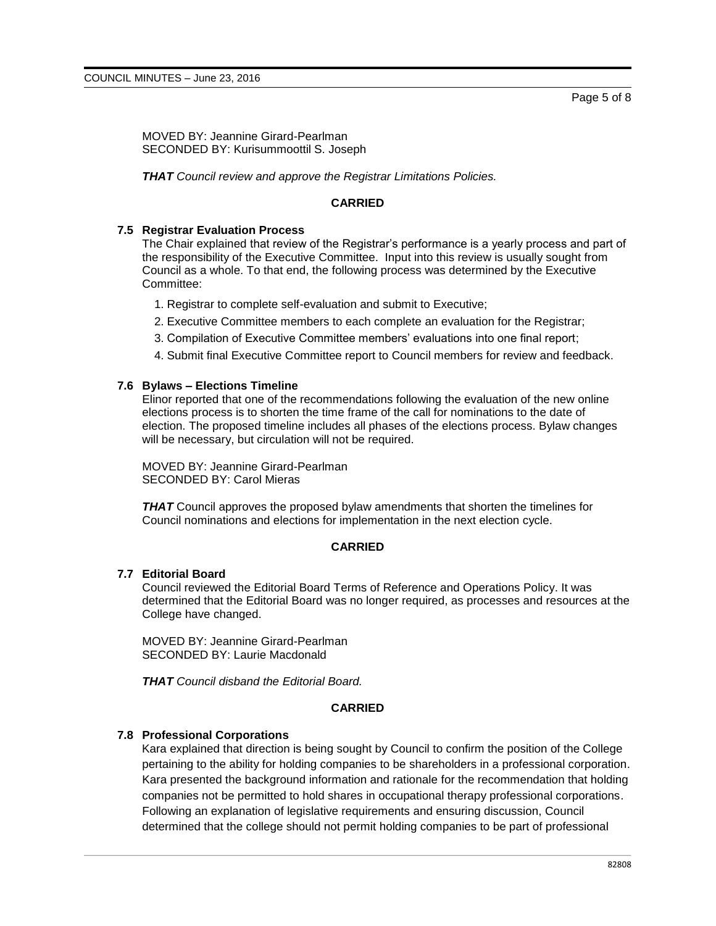MOVED BY: Jeannine Girard-Pearlman SECONDED BY: Kurisummoottil S. Joseph

*THAT Council review and approve the Registrar Limitations Policies.*

# **CARRIED**

#### **7.5 Registrar Evaluation Process**

The Chair explained that review of the Registrar's performance is a yearly process and part of the responsibility of the Executive Committee. Input into this review is usually sought from Council as a whole. To that end, the following process was determined by the Executive Committee:

- 1. Registrar to complete self-evaluation and submit to Executive;
- 2. Executive Committee members to each complete an evaluation for the Registrar;
- 3. Compilation of Executive Committee members' evaluations into one final report;
- 4. Submit final Executive Committee report to Council members for review and feedback.

#### **7.6 Bylaws – Elections Timeline**

Elinor reported that one of the recommendations following the evaluation of the new online elections process is to shorten the time frame of the call for nominations to the date of election. The proposed timeline includes all phases of the elections process. Bylaw changes will be necessary, but circulation will not be required.

MOVED BY: Jeannine Girard-Pearlman SECONDED BY: Carol Mieras

*THAT* Council approves the proposed bylaw amendments that shorten the timelines for Council nominations and elections for implementation in the next election cycle.

### **CARRIED**

#### **7.7 Editorial Board**

Council reviewed the Editorial Board Terms of Reference and Operations Policy. It was determined that the Editorial Board was no longer required, as processes and resources at the College have changed.

MOVED BY: Jeannine Girard-Pearlman SECONDED BY: Laurie Macdonald

*THAT Council disband the Editorial Board.*

# **CARRIED**

# **7.8 Professional Corporations**

Kara explained that direction is being sought by Council to confirm the position of the College pertaining to the ability for holding companies to be shareholders in a professional corporation. Kara presented the background information and rationale for the recommendation that holding companies not be permitted to hold shares in occupational therapy professional corporations. Following an explanation of legislative requirements and ensuring discussion, Council determined that the college should not permit holding companies to be part of professional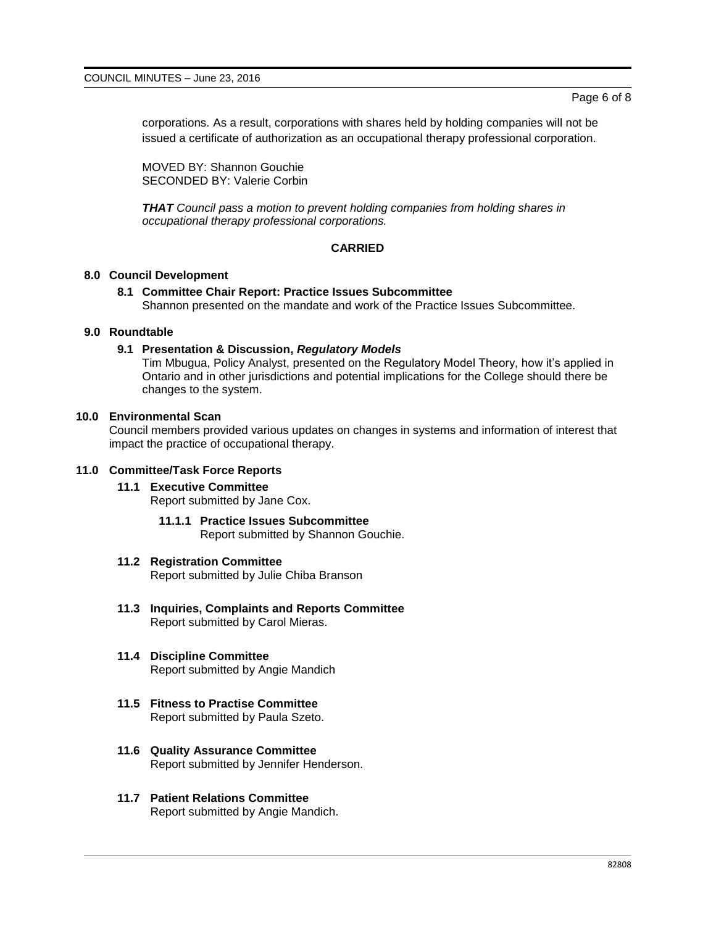corporations. As a result, corporations with shares held by holding companies will not be issued a certificate of authorization as an occupational therapy professional corporation.

MOVED BY: Shannon Gouchie SECONDED BY: Valerie Corbin

*THAT Council pass a motion to prevent holding companies from holding shares in occupational therapy professional corporations.*

# **CARRIED**

### **8.0 Council Development**

**8.1 Committee Chair Report: Practice Issues Subcommittee** Shannon presented on the mandate and work of the Practice Issues Subcommittee.

#### **9.0 Roundtable**

#### **9.1 Presentation & Discussion,** *Regulatory Models*

Tim Mbugua, Policy Analyst, presented on the Regulatory Model Theory, how it's applied in Ontario and in other jurisdictions and potential implications for the College should there be changes to the system.

#### **10.0 Environmental Scan**

Council members provided various updates on changes in systems and information of interest that impact the practice of occupational therapy.

# **11.0 Committee/Task Force Reports**

#### **11.1 Executive Committee**

Report submitted by Jane Cox.

**11.1.1 Practice Issues Subcommittee** Report submitted by Shannon Gouchie.

# **11.2 Registration Committee**

Report submitted by Julie Chiba Branson

- **11.3 Inquiries, Complaints and Reports Committee** Report submitted by Carol Mieras.
- **11.4 Discipline Committee** Report submitted by Angie Mandich
- **11.5 Fitness to Practise Committee** Report submitted by Paula Szeto.
- **11.6 Quality Assurance Committee** Report submitted by Jennifer Henderson.
- **11.7 Patient Relations Committee** Report submitted by Angie Mandich.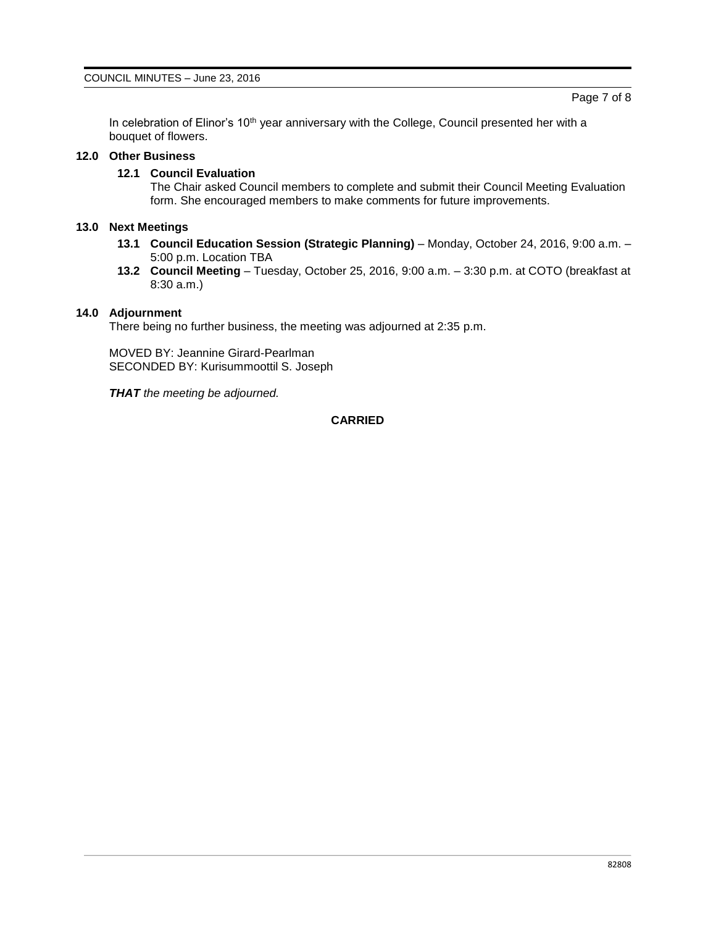In celebration of Elinor's  $10<sup>th</sup>$  year anniversary with the College, Council presented her with a bouquet of flowers.

# **12.0 Other Business**

# **12.1 Council Evaluation**

The Chair asked Council members to complete and submit their Council Meeting Evaluation form. She encouraged members to make comments for future improvements.

# **13.0 Next Meetings**

- **13.1 Council Education Session (Strategic Planning)** Monday, October 24, 2016, 9:00 a.m. 5:00 p.m. Location TBA
- **13.2 Council Meeting** Tuesday, October 25, 2016, 9:00 a.m. 3:30 p.m. at COTO (breakfast at 8:30 a.m.)

# **14.0 Adjournment**

There being no further business, the meeting was adjourned at 2:35 p.m.

MOVED BY: Jeannine Girard-Pearlman SECONDED BY: Kurisummoottil S. Joseph

*THAT the meeting be adjourned.*

# **CARRIED**